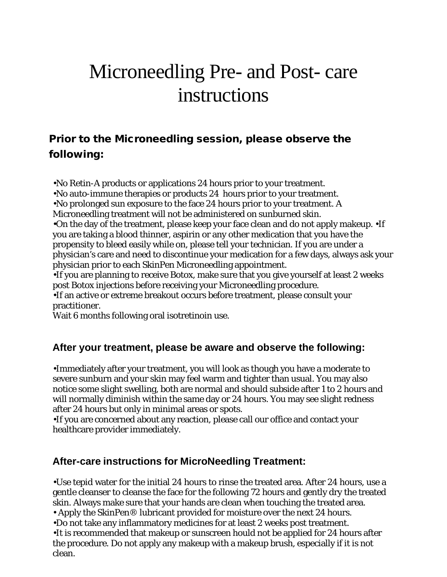## Microneedling Pre- and Post- care instructions

## Prior to the Microneedling session, please observe the following:

•No Retin-A products or applications 24 hours prior to your treatment.

•No auto-immune therapies or products 24 hours prior to your treatment.

•No prolonged sun exposure to the face 24 hours prior to your treatment. A

Microneedling treatment will not be administered on sunburned skin.

•On the day of the treatment, please keep your face clean and do not apply makeup. •If you are taking a blood thinner, aspirin or any other medication that you have the propensity to bleed easily while on, please tell your technician. If you are under a physician's care and need to discontinue your medication for a few days, always ask your physician prior to each SkinPen Microneedling appointment.

•If you are planning to receive Botox, make sure that you give yourself at least 2 weeks post Botox injections before receiving your Microneedling procedure.

•If an active or extreme breakout occurs before treatment, please consult your practitioner.

Wait 6 months following oral isotretinoin use.

## **After your treatment, please be aware and observe the following:**

•Immediately after your treatment, you will look as though you have a moderate to severe sunburn and your skin may feel warm and tighter than usual. You may also notice some slight swelling, both are normal and should subside after 1 to 2 hours and will normally diminish within the same day or 24 hours. You may see slight redness after 24 hours but only in minimal areas or spots.

•If you are concerned about any reaction, please call our office and contact your healthcare provider immediately.

## **After-care instructions for MicroNeedling Treatment:**

•Use tepid water for the initial 24 hours to rinse the treated area. After 24 hours, use a gentle cleanser to cleanse the face for the following 72 hours and gently dry the treated skin. Always make sure that your hands are clean when touching the treated area.

• Apply the SkinPen® lubricant provided for moisture over the next 24 hours.

•Do not take any inflammatory medicines for at least 2 weeks post treatment.

•It is recommended that makeup or sunscreen hould not be applied for 24 hours after the procedure. Do not apply any makeup with a makeup brush, especially if it is not clean.